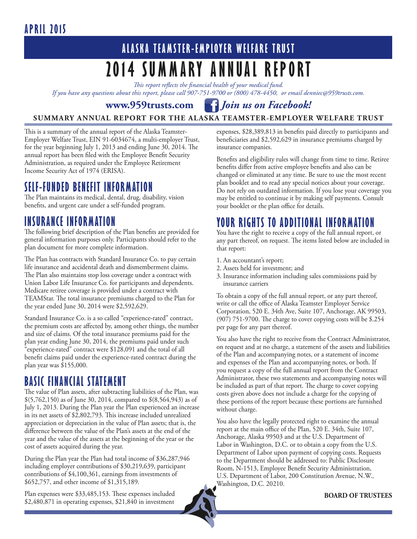#### **Apri l 2015**

## **ALASKA TEAMSTER-EMPLOYER WELFARE TRUST 2014 Summary Annual Report**

*This report reflects the financial health of your medical fund.* 

*If you have any questions about this report, please call 907-751-9700 or (800) 478-4450, or email denniec@959trusts.com.* 

**www.959trusts.com** *Join us on Facebook!*

#### **SUMMARY ANNUAL REPORT FOR THE ALASKA TEAMSTER-EMPLOYER WELFARE TRUST**

This is a summary of the annual report of the Alaska Teamster-Employer Welfare Trust, EIN 91-6034674, a multi-employer Trust, for the year beginning July 1, 2013 and ending June 30, 2014. The annual report has been filed with the Employee Benefit Security Administration, as required under the Employee Retirement Income Security Act of 1974 (ERISA).

#### **SELF-FUNDED BENEFIT INFORMATION**

The Plan maintains its medical, dental, drug, disability, vision benefits, and urgent care under a self-funded program.

#### **INSURANCE INFORMATION**

The following brief description of the Plan benefits are provided for general information purposes only. Participants should refer to the plan document for more complete information.

The Plan has contracts with Standard Insurance Co. to pay certain life insurance and accidental death and dismemberment claims. The Plan also maintains stop loss coverage under a contract with Union Labor Life Insurance Co. for participants and dependents. Medicare retiree coverage is provided under a contract with TEAMStar. The total insurance premiums charged to the Plan for the year ended June 30, 2014 were \$2,592,629.

Standard Insurance Co. is a so called "experience-rated" contract, the premium costs are affected by, among other things, the number and size of claims. Of the total insurance premiums paid for the plan year ending June 30, 2014, the premiums paid under such "experience-rated" contract were \$128,091 and the total of all benefit claims paid under the experience-rated contract during the plan year was \$155,000.

#### **BASIC FINANCIAL STATEMENT**

The value of Plan assets, after subtracting liabilities of the Plan, was \$(5,762,150) as of June 30, 2014, compared to \$(8,564,943) as of July 1, 2013. During the Plan year the Plan experienced an increase in its net assets of \$2,802,793. This increase included unrealized appreciation or depreciation in the value of Plan assets; that is, the difference between the value of the Plan's assets at the end of the year and the value of the assets at the beginning of the year or the cost of assets acquired during the year.

During the Plan year the Plan had total income of \$36,287,946 including employer contributions of \$30,219,639, participant contributions of \$4,100,361, earnings from investments of \$652,757, and other income of \$1,315,189.

Plan expenses were \$33,485,153. These expenses included \$2,480,871 in operating expenses, \$21,840 in investment

expenses, \$28,389,813 in benefits paid directly to participants and beneficiaries and \$2,592,629 in insurance premiums charged by insurance companies.

Benefits and eligibility rules will change from time to time. Retiree benefits differ from active employee benefits and also can be changed or eliminated at any time. Be sure to use the most recent plan booklet and to read any special notices about your coverage. Do not rely on outdated information. If you lose your coverage you may be entitled to continue it by making self payments. Consult your booklet or the plan office for details.

#### **YOUR RIGHTS TO ADDITIONAL INFORMATION**

You have the right to receive a copy of the full annual report, or any part thereof, on request. The items listed below are included in that report:

- 1. An accountant's report;
- 2. Assets held for investment; and
- 3. Insurance information including sales commissions paid by insurance carriers

To obtain a copy of the full annual report, or any part thereof, write or call the office of Alaska Teamster Employer Service Corporation, 520 E. 34th Ave, Suite 107, Anchorage, AK 99503, (907) 751-9700. The charge to cover copying costs will be \$.254 per page for any part thereof.

You also have the right to receive from the Contract Administrator, on request and at no charge, a statement of the assets and liabilities of the Plan and accompanying notes, or a statement of income and expenses of the Plan and accompanying notes, or both. If you request a copy of the full annual report from the Contract Administrator, these two statements and accompanying notes will be included as part of that report. The charge to cover copying costs given above does not include a charge for the copying of these portions of the report because these portions are furnished without charge.

You also have the legally protected right to examine the annual report at the main office of the Plan, 520 E. 34th, Suite 107, Anchorage, Alaska 99503 and at the U.S. Department of Labor in Washington, D.C. or to obtain a copy from the U.S. Department of Labor upon payment of copying costs. Requests to the Department should be addressed to: Public Disclosure Room, N-1513, Employee Benefit Security Administration, U.S. Department of Labor, 200 Constitution Avenue, N.W., Washington, D.C. 20210.